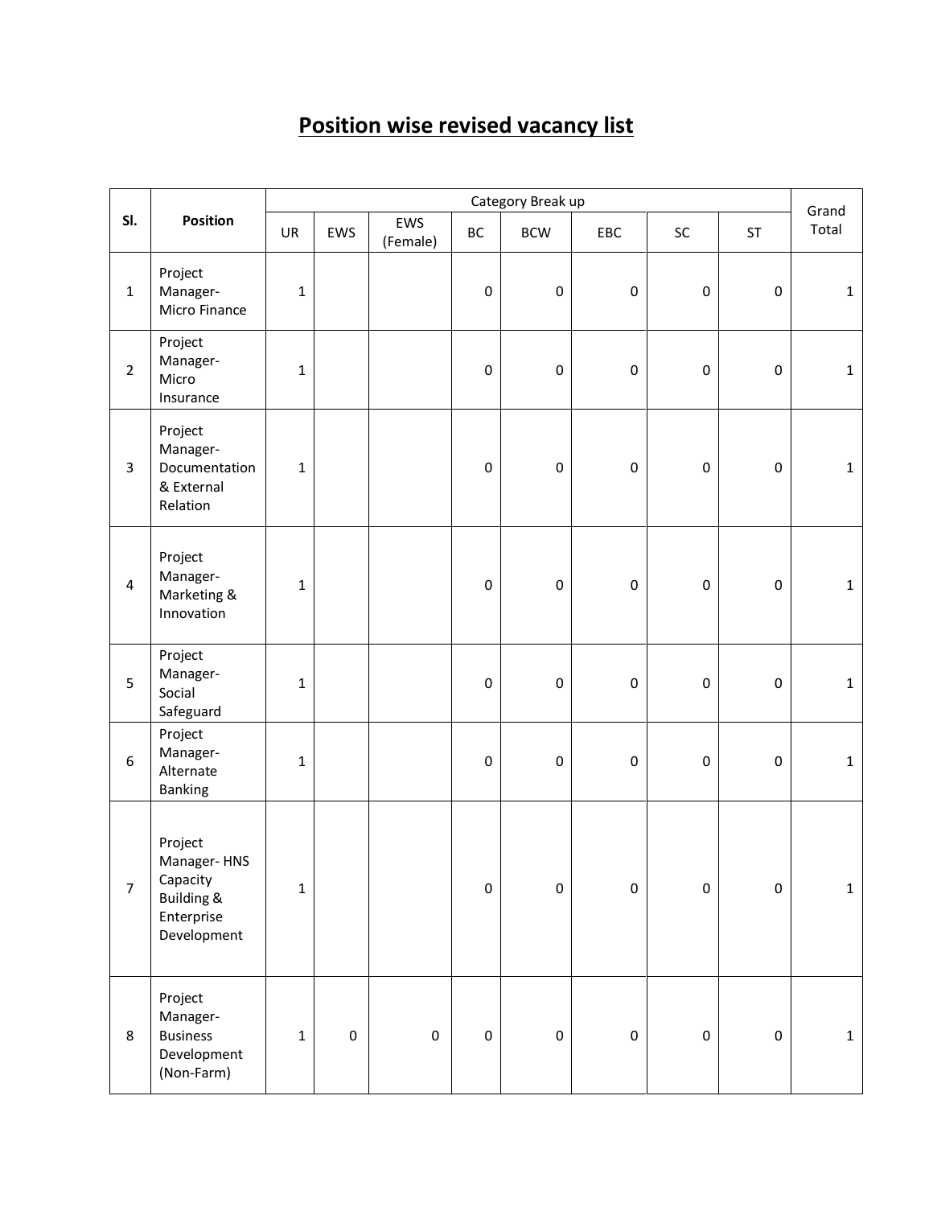## **Position wise revised vacancy list**

|                         | Position                                                                                 | Category Break up |             |                 |             |                     |             |           |           | Grand        |
|-------------------------|------------------------------------------------------------------------------------------|-------------------|-------------|-----------------|-------------|---------------------|-------------|-----------|-----------|--------------|
| SI.                     |                                                                                          | UR                | EWS         | EWS<br>(Female) | BC          | <b>BCW</b>          | EBC         | $\sf SC$  | <b>ST</b> | Total        |
| $\mathbf{1}$            | Project<br>Manager-<br>Micro Finance                                                     | $\mathbf 1$       |             |                 | $\pmb{0}$   | $\pmb{0}$           | $\pmb{0}$   | $\pmb{0}$ | $\pmb{0}$ | $\mathbf{1}$ |
| $\overline{2}$          | Project<br>Manager-<br>Micro<br>Insurance                                                | $\mathbf 1$       |             |                 | $\pmb{0}$   | $\pmb{0}$           | $\pmb{0}$   | $\pmb{0}$ | $\pmb{0}$ | $\mathbf{1}$ |
| 3                       | Project<br>Manager-<br>Documentation<br>& External<br>Relation                           | $\mathbf{1}$      |             |                 | $\pmb{0}$   | $\pmb{0}$           | $\pmb{0}$   | $\pmb{0}$ | $\pmb{0}$ | $\mathbf{1}$ |
| $\overline{\mathbf{4}}$ | Project<br>Manager-<br>Marketing &<br>Innovation                                         | $\mathbf 1$       |             |                 | $\pmb{0}$   | $\pmb{0}$           | $\pmb{0}$   | $\pmb{0}$ | $\pmb{0}$ | $\mathbf{1}$ |
| 5                       | Project<br>Manager-<br>Social<br>Safeguard                                               | $\mathbf 1$       |             |                 | $\mathbf 0$ | $\pmb{0}$           | $\pmb{0}$   | $\pmb{0}$ | $\pmb{0}$ | $\mathbf{1}$ |
| 6                       | Project<br>Manager-<br>Alternate<br><b>Banking</b>                                       | $\mathbf 1$       |             |                 | $\pmb{0}$   | $\pmb{0}$           | $\pmb{0}$   | $\pmb{0}$ | $\pmb{0}$ | $\mathbf{1}$ |
| $\overline{7}$          | Project<br>Manager-HNS<br>Capacity<br><b>Building &amp;</b><br>Enterprise<br>Development | $\mathbf 1$       |             |                 | $\pmb{0}$   | $\mathsf 0$         | $\pmb{0}$   | $\pmb{0}$ | $\pmb{0}$ | $\mathbf{1}$ |
| $\,8\,$                 | Project<br>Manager-<br><b>Business</b><br>Development<br>(Non-Farm)                      | $\mathbf 1$       | $\mathsf 0$ | $\pmb{0}$       | $\pmb{0}$   | $\mathsf{O}\xspace$ | $\mathbf 0$ | $\pmb{0}$ | $\pmb{0}$ | $\mathbf{1}$ |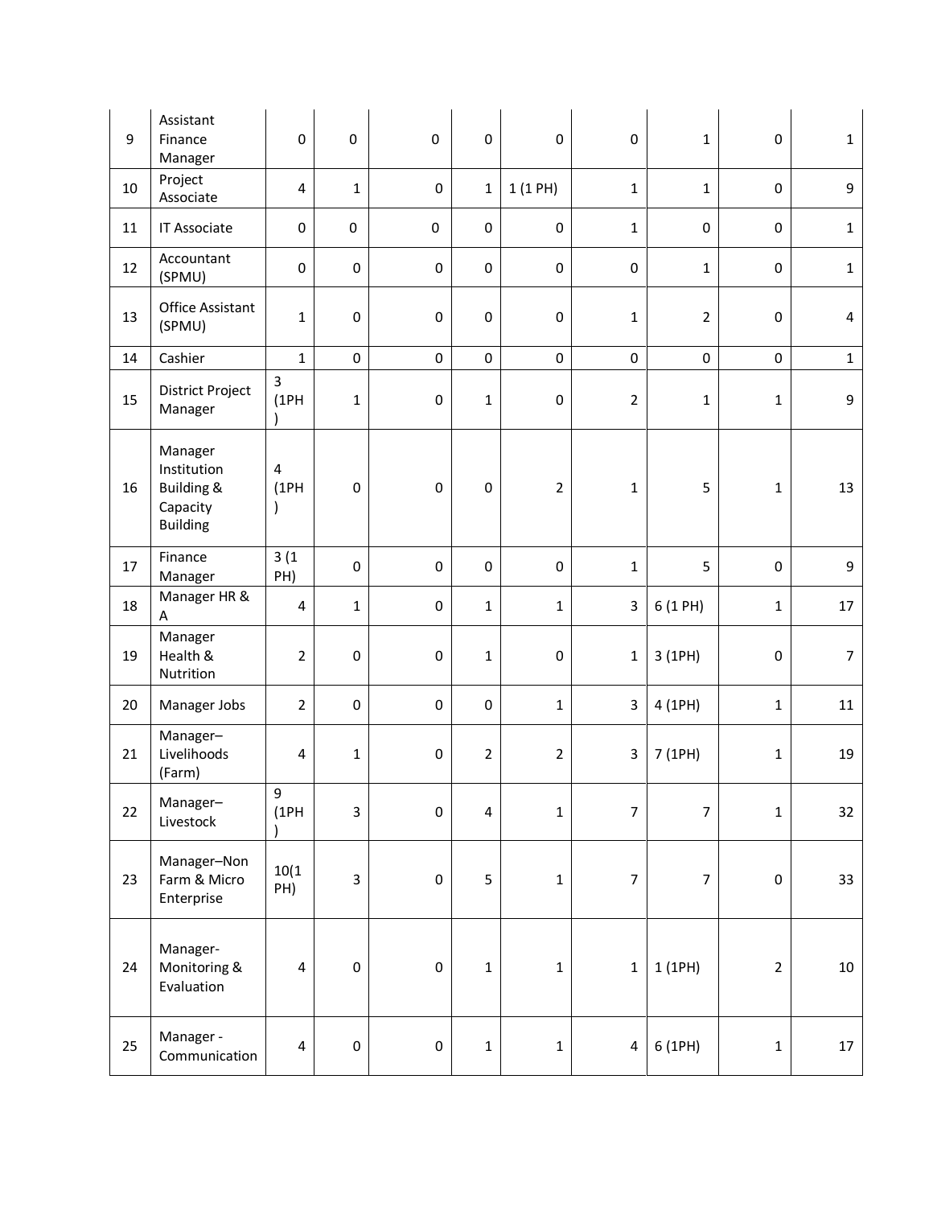| 9  | Assistant<br>Finance<br>Manager                                                | 0                         | $\mathbf 0$  | $\pmb{0}$ | $\pmb{0}$      | $\pmb{0}$        | $\pmb{0}$               | $\mathbf{1}$   | $\pmb{0}$           | $\mathbf 1$    |
|----|--------------------------------------------------------------------------------|---------------------------|--------------|-----------|----------------|------------------|-------------------------|----------------|---------------------|----------------|
| 10 | Project<br>Associate                                                           | 4                         | $\mathbf{1}$ | $\pmb{0}$ | $\mathbf{1}$   | 1(1PH)           | $\mathbf{1}$            | $\mathbf{1}$   | $\pmb{0}$           | 9              |
| 11 | IT Associate                                                                   | 0                         | $\pmb{0}$    | $\pmb{0}$ | $\mathbf 0$    | $\pmb{0}$        | $\mathbf{1}$            | $\mathbf 0$    | $\mathbf 0$         | $\mathbf{1}$   |
| 12 | Accountant<br>(SPMU)                                                           | 0                         | $\pmb{0}$    | $\pmb{0}$ | $\pmb{0}$      | $\pmb{0}$        | 0                       | $\mathbf{1}$   | $\pmb{0}$           | $\mathbf 1$    |
| 13 | <b>Office Assistant</b><br>(SPMU)                                              | $\mathbf{1}$              | $\pmb{0}$    | $\pmb{0}$ | $\pmb{0}$      | $\pmb{0}$        | $\mathbf 1$             | $\overline{2}$ | $\pmb{0}$           | $\overline{4}$ |
| 14 | Cashier                                                                        | $\mathbf{1}$              | $\pmb{0}$    | $\pmb{0}$ | $\mathbf 0$    | $\pmb{0}$        | 0                       | $\pmb{0}$      | $\mathsf{O}\xspace$ | $\mathbf 1$    |
| 15 | District Project<br>Manager                                                    | $\overline{3}$<br>(1PH)   | $\mathbf{1}$ | 0         | $\mathbf 1$    | $\pmb{0}$        | $\overline{2}$          | $\mathbf{1}$   | $\mathbf 1$         | 9              |
| 16 | Manager<br>Institution<br><b>Building &amp;</b><br>Capacity<br><b>Building</b> | 4<br>(1PH)<br>$\lambda$   | $\pmb{0}$    | $\pmb{0}$ | $\pmb{0}$      | $\boldsymbol{2}$ | $\mathbf 1$             | 5              | $\mathbf 1$         | 13             |
| 17 | Finance<br>Manager                                                             | 3(1)<br>PH)               | $\mathbf 0$  | $\pmb{0}$ | $\mathbf 0$    | $\pmb{0}$        | $\mathbf{1}$            | 5              | $\pmb{0}$           | 9              |
| 18 | Manager HR &<br>Α                                                              | $\overline{\mathbf{4}}$   | $\mathbf{1}$ | $\pmb{0}$ | $\mathbf{1}$   | $\mathbf{1}$     | 3                       | 6 (1 PH)       | $\mathbf{1}$        | 17             |
| 19 | Manager<br>Health &<br>Nutrition                                               | $\overline{2}$            | $\pmb{0}$    | 0         | $\mathbf 1$    | $\pmb{0}$        | $\mathbf 1$             | 3 (1PH)        | $\pmb{0}$           | $\overline{7}$ |
| 20 | Manager Jobs                                                                   | $\overline{2}$            | $\pmb{0}$    | $\pmb{0}$ | $\pmb{0}$      | $\mathbf 1$      | 3                       | 4 (1PH)        | $\mathbf 1$         | 11             |
| 21 | Manager-<br>Livelihoods<br>(Farm)                                              | $\overline{\mathbf{4}}$   | $\mathbf{1}$ | $\pmb{0}$ | $\overline{2}$ | $\sqrt{2}$       | $\overline{\mathbf{3}}$ | 7 (1PH)        | $\mathbf{1}$        | 19             |
| 22 | Manager-<br>Livestock                                                          | $\boldsymbol{9}$<br>(1PH) | 3            | $\pmb{0}$ | 4              | $\mathbf 1$      | $\overline{7}$          | $\overline{7}$ | $\mathbf 1$         | 32             |
| 23 | Manager-Non<br>Farm & Micro<br>Enterprise                                      | 10(1)<br>PH)              | 3            | $\pmb{0}$ | 5              | $\mathbf 1$      | $\overline{7}$          | $\overline{7}$ | $\pmb{0}$           | 33             |
| 24 | Manager-<br>Monitoring &<br>Evaluation                                         | 4                         | $\pmb{0}$    | $\pmb{0}$ | $\mathbf 1$    | $\mathbf 1$      | $\mathbf{1}$            | 1 (1PH)        | $\mathbf 2$         | $10\,$         |
| 25 | Manager -<br>Communication                                                     | $\overline{\mathbf{4}}$   | $\pmb{0}$    | $\pmb{0}$ | $\mathbf 1$    | $\mathbf 1$      | 4                       | 6 (1PH)        | $\mathbf 1$         | $17\,$         |